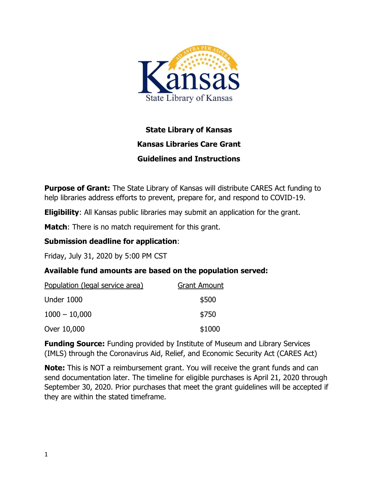

# **State Library of Kansas Kansas Libraries Care Grant Guidelines and Instructions**

**Purpose of Grant:** The State Library of Kansas will distribute CARES Act funding to help libraries address efforts to prevent, prepare for, and respond to COVID-19.

**Eligibility**: All Kansas public libraries may submit an application for the grant.

**Match**: There is no match requirement for this grant.

#### **Submission deadline for application**:

Friday, July 31, 2020 by 5:00 PM CST

### **Available fund amounts are based on the population served:**

| Population (legal service area) | <b>Grant Amount</b> |
|---------------------------------|---------------------|
| Under 1000                      | \$500               |
| $1000 - 10,000$                 | \$750               |
| Over 10,000                     | \$1000              |

**Funding Source:** Funding provided by Institute of Museum and Library Services (IMLS) through the Coronavirus Aid, Relief, and Economic Security Act (CARES Act)

**Note:** This is NOT a reimbursement grant. You will receive the grant funds and can send documentation later. The timeline for eligible purchases is April 21, 2020 through September 30, 2020. Prior purchases that meet the grant guidelines will be accepted if they are within the stated timeframe.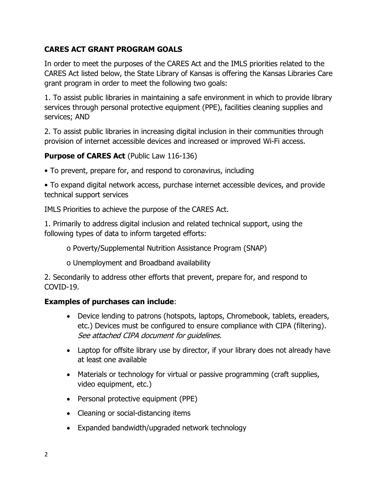## **CARES ACT GRANT PROGRAM GOALS**

In order to meet the purposes of the CARES Act and the IMLS priorities related to the CARES Act listed below, the State Library of Kansas is offering the Kansas Libraries Care grant program in order to meet the following two goals:

1. To assist public libraries in maintaining a safe environment in which to provide library services through personal protective equipment (PPE), facilities cleaning supplies and services; AND

2. To assist public libraries in increasing digital inclusion in their communities through provision of internet accessible devices and increased or improved Wi-Fi access.

### **Purpose of CARES Act** (Public Law 116-136)

• To prevent, prepare for, and respond to coronavirus, including

• To expand digital network access, purchase internet accessible devices, and provide technical support services

IMLS Priorities to achieve the purpose of the CARES Act.

1. Primarily to address digital inclusion and related technical support, using the following types of data to inform targeted efforts:

o Poverty/Supplemental Nutrition Assistance Program (SNAP)

o Unemployment and Broadband availability

2. Secondarily to address other efforts that prevent, prepare for, and respond to COVID-19.

### **Examples of purchases can include**:

- Device lending to patrons (hotspots, laptops, Chromebook, tablets, ereaders, etc.) Devices must be configured to ensure compliance with CIPA (filtering). See attached CIPA document for guidelines.
- Laptop for offsite library use by director, if your library does not already have at least one available
- Materials or technology for virtual or passive programming (craft supplies, video equipment, etc.)
- Personal protective equipment (PPE)
- Cleaning or social-distancing items
- Expanded bandwidth/upgraded network technology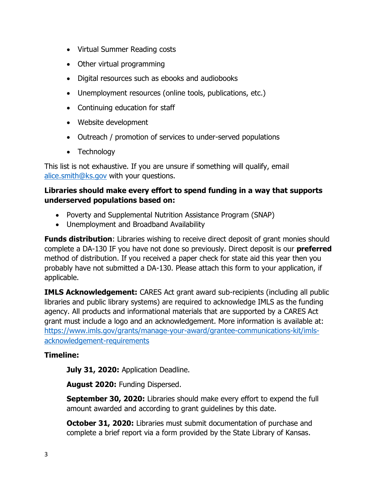- Virtual Summer Reading costs
- Other virtual programming
- Digital resources such as ebooks and audiobooks
- Unemployment resources (online tools, publications, etc.)
- Continuing education for staff
- Website development
- Outreach / promotion of services to under-served populations
- Technology

This list is not exhaustive. If you are unsure if something will qualify, email [alice.smith@ks.gov](mailto:alice.smith@ks.gov) with your questions.

#### **Libraries should make every effort to spend funding in a way that supports underserved populations based on:**

- Poverty and Supplemental Nutrition Assistance Program (SNAP)
- Unemployment and Broadband Availability

**Funds distribution:** Libraries wishing to receive direct deposit of grant monies should complete a DA-130 IF you have not done so previously. Direct deposit is our **preferred** method of distribution. If you received a paper check for state aid this year then you probably have not submitted a DA-130. Please attach this form to your application, if applicable.

**IMLS Acknowledgement:** CARES Act grant award sub-recipients (including all public libraries and public library systems) are required to acknowledge IMLS as the funding agency. All products and informational materials that are supported by a CARES Act grant must include a logo and an acknowledgement. More information is available at: [https://www.imls.gov/grants/manage-your-award/grantee-communications-kit/imls](https://www.imls.gov/grants/manage-your-award/grantee-communications-kit/imls-acknowledgement-requirements)[acknowledgement-requirements](https://www.imls.gov/grants/manage-your-award/grantee-communications-kit/imls-acknowledgement-requirements)

### **Timeline:**

**July 31, 2020:** Application Deadline.

**August 2020:** Funding Dispersed.

**September 30, 2020:** Libraries should make every effort to expend the full amount awarded and according to grant guidelines by this date.

**October 31, 2020:** Libraries must submit documentation of purchase and complete a brief report via a form provided by the State Library of Kansas.